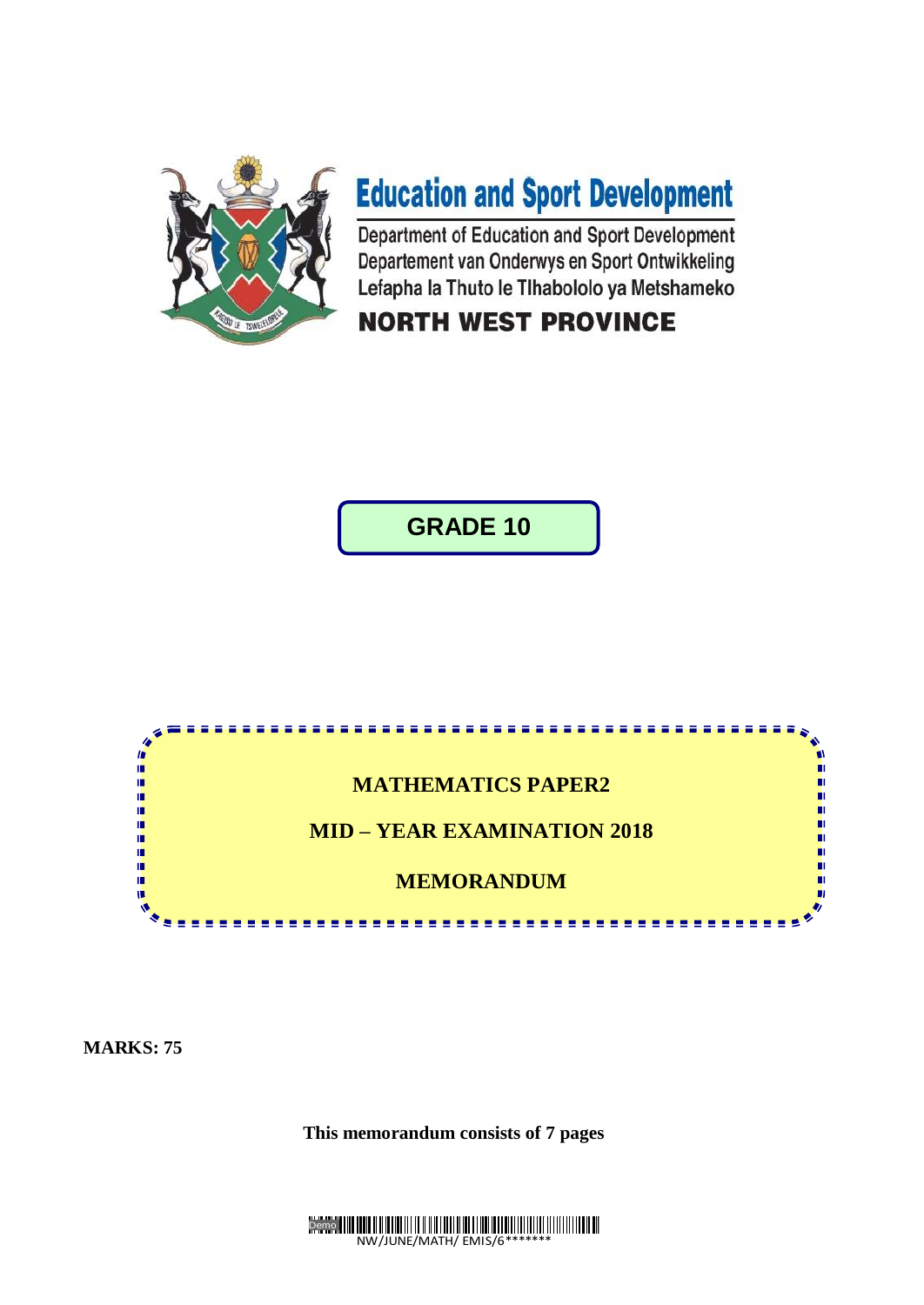

# **Education and Sport Development**

Department of Education and Sport Development Departement van Onderwys en Sport Ontwikkeling Lefapha la Thuto le Tihabololo ya Metshameko

# **NORTH WEST PROVINCE**

**GRADE 10**



**MARKS: 75**

**This memorandum consists of 7 pages**

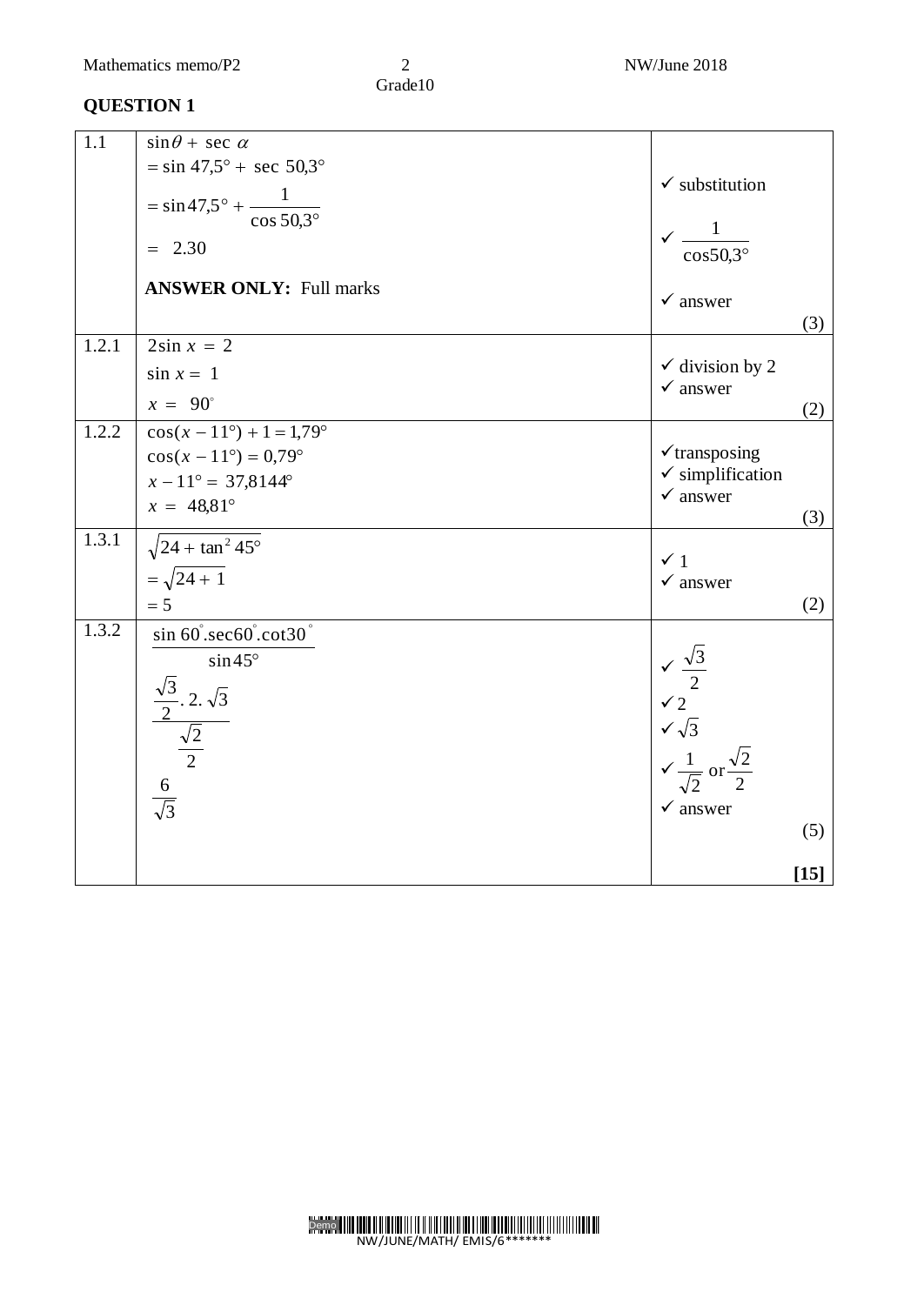| $\overline{1.1}$ | $\sin\theta$ + sec $\alpha$                                                                       |                                                                                                                                                   |        |
|------------------|---------------------------------------------------------------------------------------------------|---------------------------------------------------------------------------------------------------------------------------------------------------|--------|
|                  | $=$ sin 47,5° + sec 50,3°                                                                         | $\checkmark$ substitution                                                                                                                         |        |
|                  | $= \sin 47.5^{\circ} + \frac{1}{\cos 50.3^{\circ}}$                                               |                                                                                                                                                   |        |
|                  | $= 2.30$                                                                                          | $\sqrt{\frac{1}{\cos 50,3^{\circ}}}$                                                                                                              |        |
|                  |                                                                                                   |                                                                                                                                                   |        |
|                  | <b>ANSWER ONLY: Full marks</b>                                                                    | $\checkmark$ answer                                                                                                                               |        |
|                  |                                                                                                   |                                                                                                                                                   | (3)    |
| 1.2.1            | $2\sin x = 2$                                                                                     |                                                                                                                                                   |        |
|                  | $\sin x = 1$                                                                                      | $\checkmark$ division by 2<br>$\checkmark$ answer                                                                                                 |        |
|                  | $x = 90^\circ$                                                                                    |                                                                                                                                                   | (2)    |
| 1.2.2            | $\cos(x-11^{\circ})+1=1,79^{\circ}$                                                               |                                                                                                                                                   |        |
|                  | $cos(x - 11^{\circ}) = 0.79^{\circ}$                                                              | $\checkmark$ transposing                                                                                                                          |        |
|                  | $x - 11^{\circ} = 37,8144^{\circ}$                                                                | $\checkmark$ simplification<br>$\checkmark$ answer                                                                                                |        |
|                  | $x = 48.81^{\circ}$                                                                               |                                                                                                                                                   | (3)    |
| 1.3.1            | $\sqrt{24 + \tan^2 45^\circ}$                                                                     | $\checkmark$ 1                                                                                                                                    |        |
|                  | $=\sqrt{24+1}$                                                                                    | $\checkmark$ answer                                                                                                                               |        |
|                  | $= 5$                                                                                             |                                                                                                                                                   | (2)    |
| 1.3.2            | sin 60° sec60° cot30°                                                                             |                                                                                                                                                   |        |
|                  | $\sin 45^\circ$                                                                                   |                                                                                                                                                   |        |
|                  |                                                                                                   |                                                                                                                                                   |        |
|                  |                                                                                                   |                                                                                                                                                   |        |
|                  |                                                                                                   |                                                                                                                                                   |        |
|                  | $rac{\frac{\sqrt{3}}{2} \cdot 2 \cdot \sqrt{3}}{\frac{\sqrt{2}}{2}}$<br>6<br>$\frac{6}{\sqrt{3}}$ | $\begin{array}{r} \n\sqrt{3} \\ \sqrt{2} \\ \sqrt{2} \\ \sqrt{\sqrt{3}} \\ \sqrt{\frac{1}{\sqrt{2}}} \text{ or } \frac{\sqrt{2}}{2}\n\end{array}$ |        |
|                  |                                                                                                   | $\checkmark$ answer                                                                                                                               |        |
|                  |                                                                                                   |                                                                                                                                                   | (5)    |
|                  |                                                                                                   |                                                                                                                                                   | $[15]$ |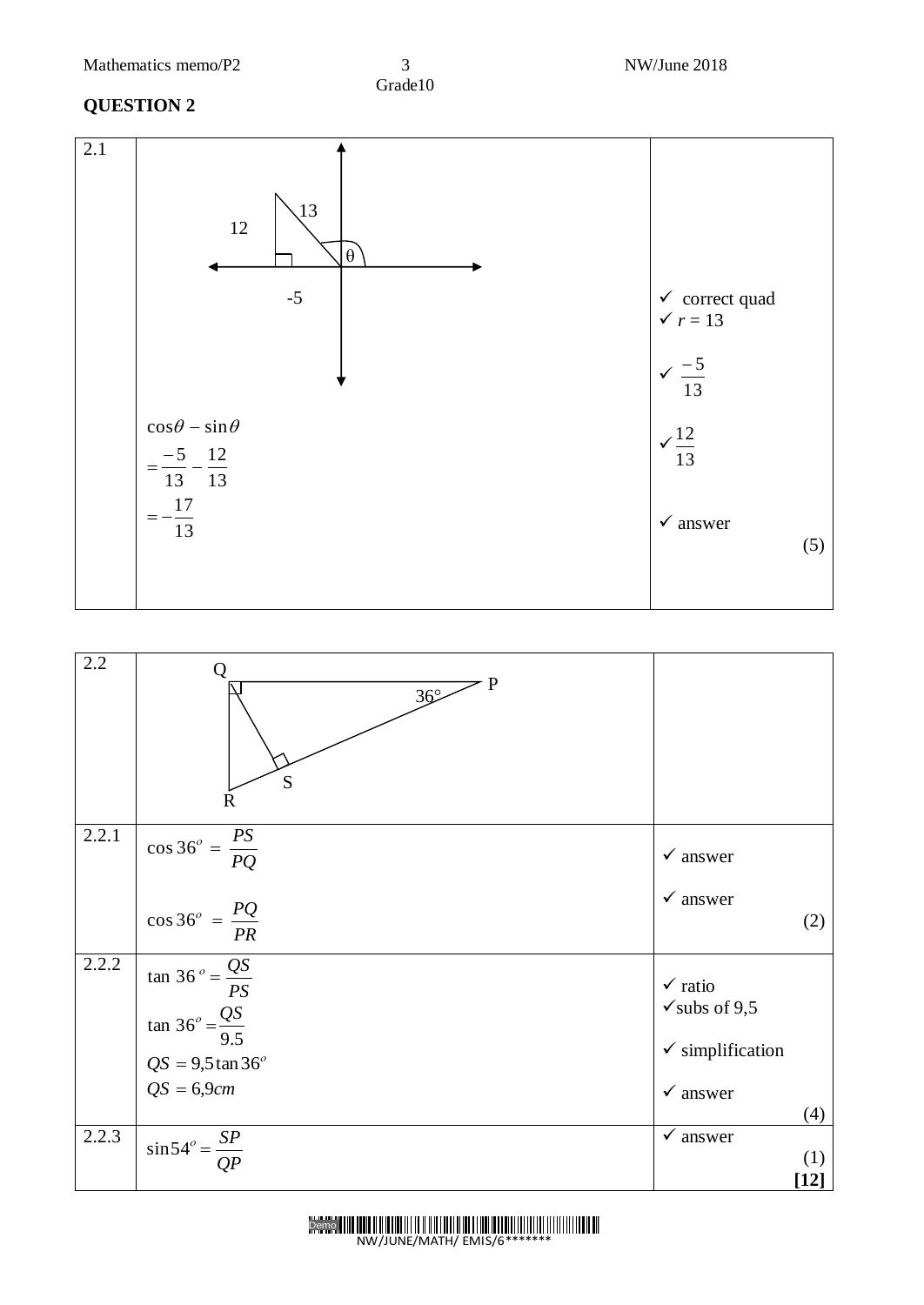#### **QUESTION 2**





Demo<sup>|</sup> NW/JUNE/MATH/ EMIS/6\*\*\*\*\*\*\*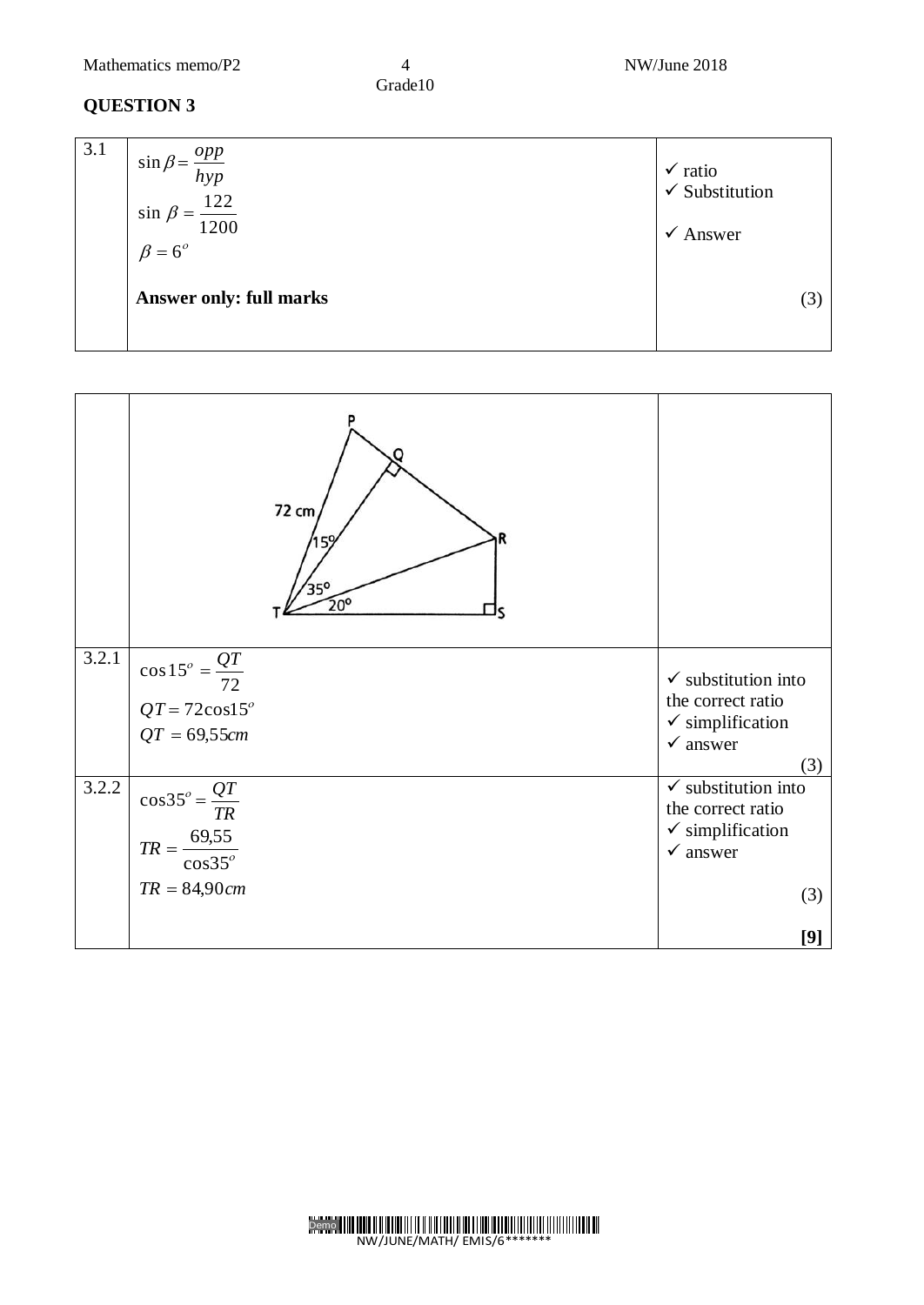Mathematics memo/P2 4 NW/June 2018

Grade10

| 3.1 | $\sin \beta = \frac{opp}{hyp}$<br>$\sin \beta = \frac{122}{1200}$<br>$\beta = 6^{\circ}$ | $\checkmark$ ratio<br>$\checkmark$ Substitution<br>Answer<br>$\checkmark$ |
|-----|------------------------------------------------------------------------------------------|---------------------------------------------------------------------------|
|     | <b>Answer only: full marks</b>                                                           | (3)                                                                       |

|       | 72 cm<br>35°<br>$\overline{20^{\circ}}$ |                                                    |
|-------|-----------------------------------------|----------------------------------------------------|
| 3.2.1 | $\cos 15^\circ = \frac{QT}{72}$         | $\checkmark$ substitution into                     |
|       | $QT = 72 \cos 15^\circ$                 | the correct ratio<br>$\checkmark$ simplification   |
|       | $QT = 69,55cm$                          | $\checkmark$ answer                                |
|       |                                         | (3)                                                |
| 3.2.2 | $\cos 35^\circ = \frac{QT}{TR}$         | $\checkmark$ substitution into                     |
|       |                                         | the correct ratio                                  |
|       | $TR = \frac{69,55}{\cos 35^{\circ}}$    | $\checkmark$ simplification<br>$\checkmark$ answer |
|       |                                         |                                                    |
|       | $TR = 84,90cm$                          | (3)                                                |
|       |                                         |                                                    |
|       |                                         | [9]                                                |

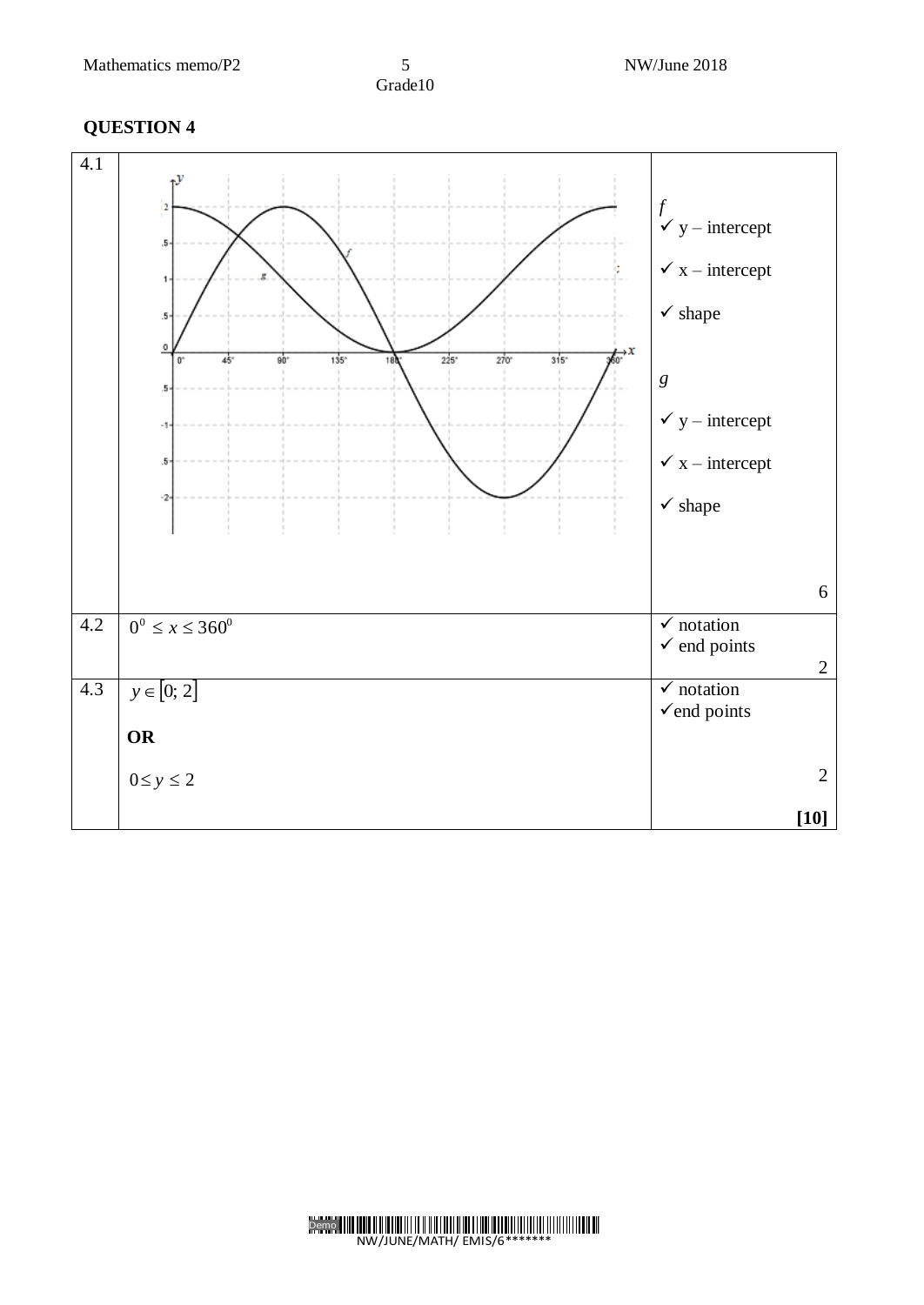

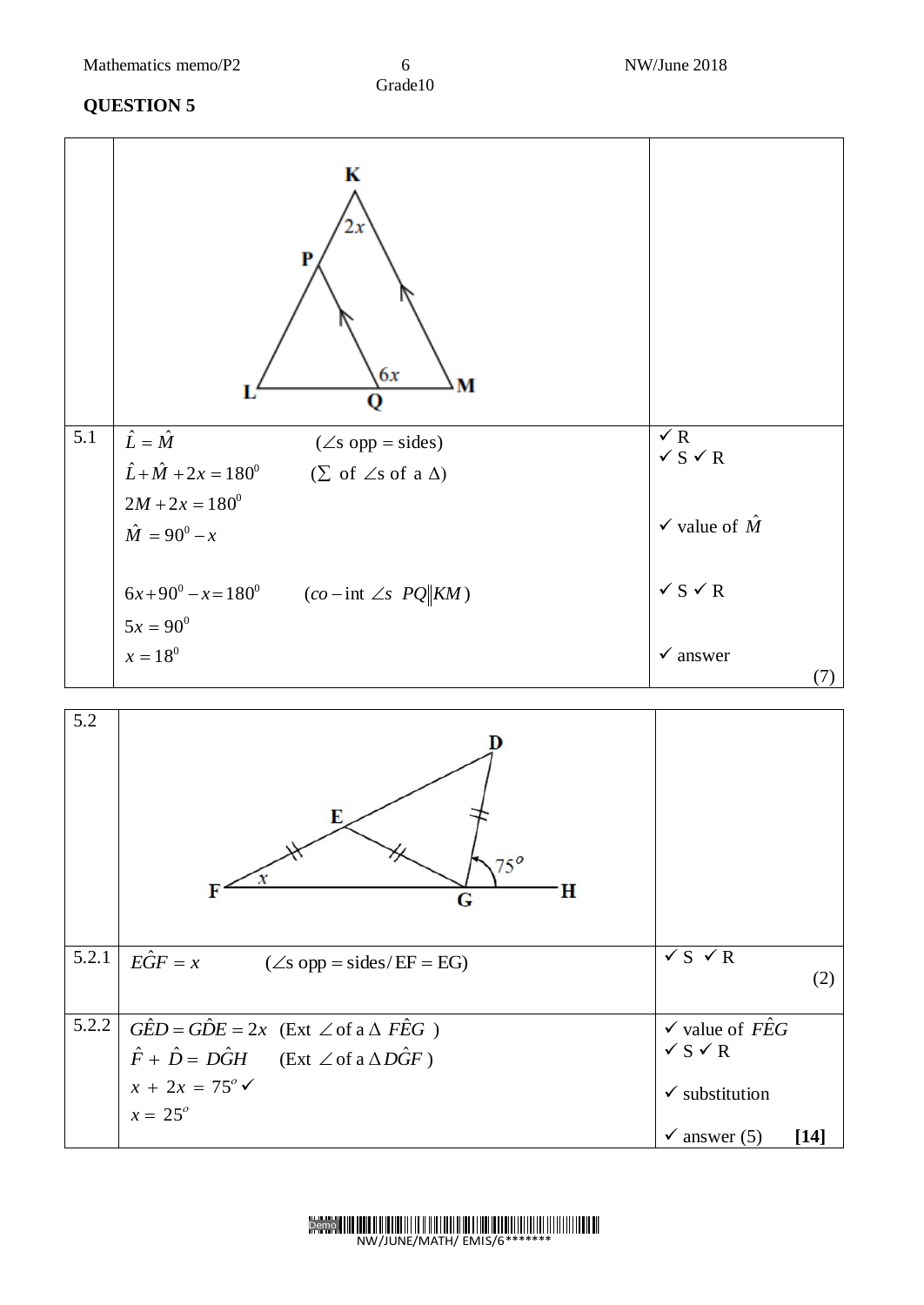|                  | K<br>2х<br>P<br>6x<br>М<br>о                                                                                                                      |                                             |
|------------------|---------------------------------------------------------------------------------------------------------------------------------------------------|---------------------------------------------|
| $\overline{5.1}$ | $\hat{L} = \hat{M}$<br>$(\angle s$ opp = sides)<br>$\hat{L} + \hat{M} + 2x = 180^{\circ}$<br>$(\Sigma \text{ of } \angle s \text{ of a } \Delta)$ | $\sqrt{R}$<br>$\checkmark$ S $\checkmark$ R |
|                  | $2M + 2x = 180^0$<br>$\hat{M} = 90^0 - x$                                                                                                         | $\checkmark$ value of $\hat{M}$             |
|                  | $6x+90^0 - x = 180^0$<br>$(co$ - int $\angle s$ $PQ$ $ KM)$                                                                                       | $\checkmark$ S $\checkmark$ R               |
|                  | $5x = 90^0$<br>$x=18^0$                                                                                                                           | $\checkmark$ answer<br>(7)                  |